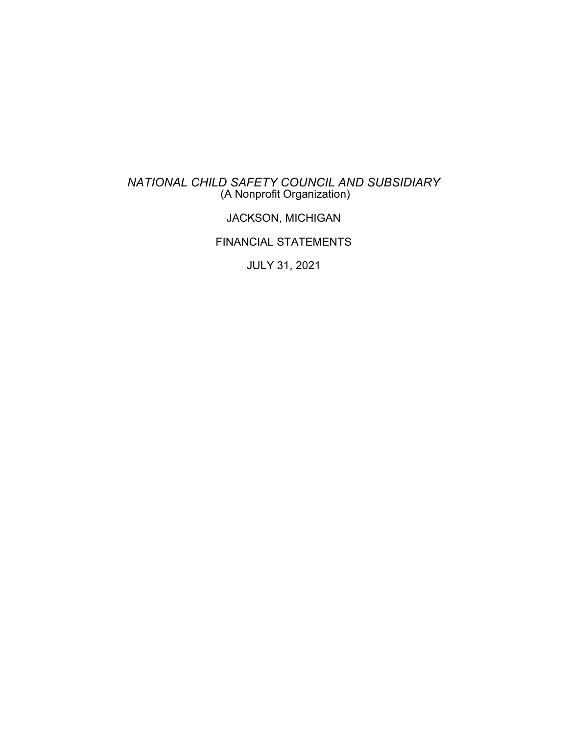### *NATIONAL CHILD SAFETY COUNCIL AND SUBSIDIARY* (A Nonprofit Organization)

# JACKSON, MICHIGAN

# FINANCIAL STATEMENTS

JULY 31, 2021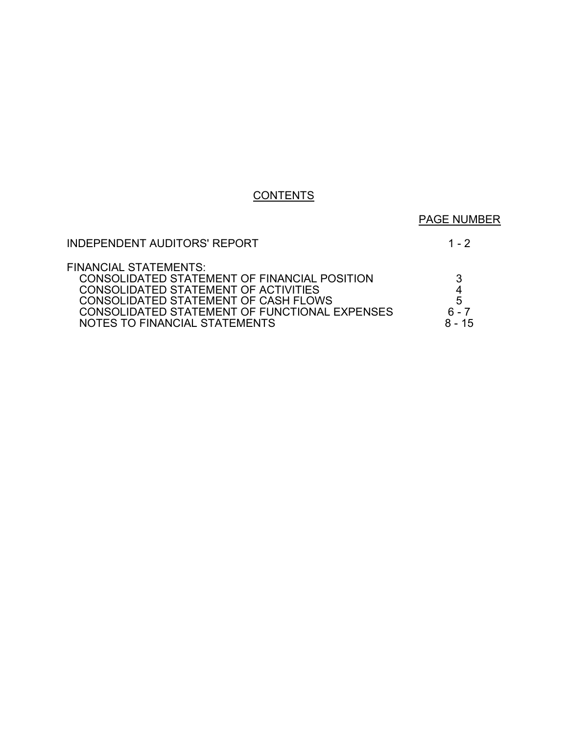# **CONTENTS**

# PAGE NUMBER

# INDEPENDENT AUDITORS' REPORT 1 - 2

| З        |
|----------|
| 4        |
| 5        |
| 7        |
| $8 - 15$ |
|          |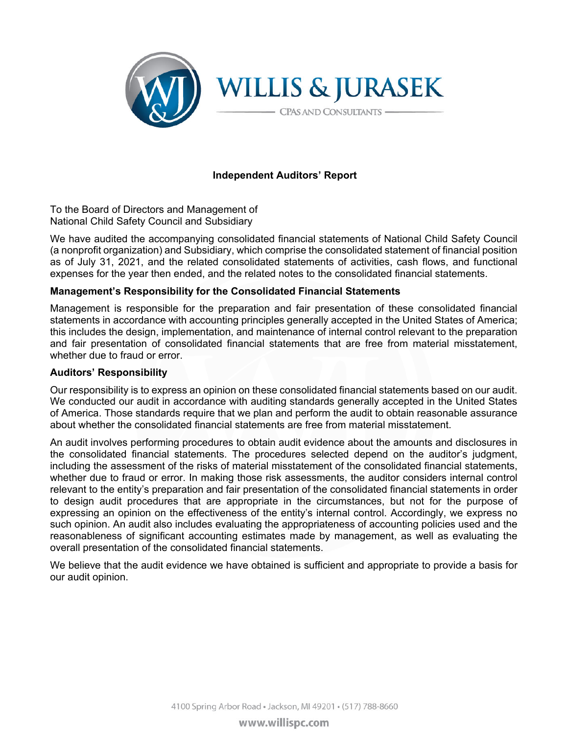

### **Independent Auditors' Report**

To the Board of Directors and Management of National Child Safety Council and Subsidiary

We have audited the accompanying consolidated financial statements of National Child Safety Council (a nonprofit organization) and Subsidiary, which comprise the consolidated statement of financial position as of July 31, 2021, and the related consolidated statements of activities, cash flows, and functional expenses for the year then ended, and the related notes to the consolidated financial statements.

#### **Management's Responsibility for the Consolidated Financial Statements**

Management is responsible for the preparation and fair presentation of these consolidated financial statements in accordance with accounting principles generally accepted in the United States of America; this includes the design, implementation, and maintenance of internal control relevant to the preparation and fair presentation of consolidated financial statements that are free from material misstatement, whether due to fraud or error.

#### **Auditors' Responsibility**

Our responsibility is to express an opinion on these consolidated financial statements based on our audit. We conducted our audit in accordance with auditing standards generally accepted in the United States of America. Those standards require that we plan and perform the audit to obtain reasonable assurance about whether the consolidated financial statements are free from material misstatement.

An audit involves performing procedures to obtain audit evidence about the amounts and disclosures in the consolidated financial statements. The procedures selected depend on the auditor's judgment, including the assessment of the risks of material misstatement of the consolidated financial statements, whether due to fraud or error. In making those risk assessments, the auditor considers internal control relevant to the entity's preparation and fair presentation of the consolidated financial statements in order to design audit procedures that are appropriate in the circumstances, but not for the purpose of expressing an opinion on the effectiveness of the entity's internal control. Accordingly, we express no such opinion. An audit also includes evaluating the appropriateness of accounting policies used and the reasonableness of significant accounting estimates made by management, as well as evaluating the overall presentation of the consolidated financial statements.

We believe that the audit evidence we have obtained is sufficient and appropriate to provide a basis for our audit opinion.

4100 Spring Arbor Road · Jackson, MI 49201 · (517) 788-8660

www.willispc.com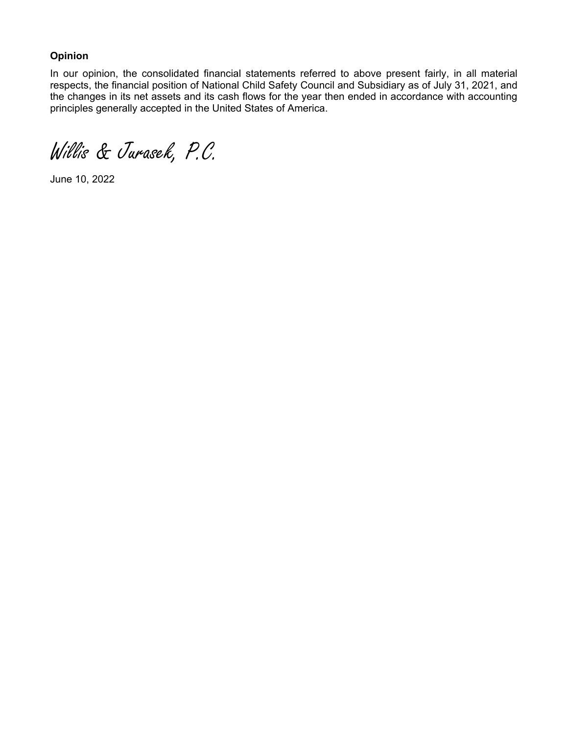### **Opinion**

In our opinion, the consolidated financial statements referred to above present fairly, in all material respects, the financial position of National Child Safety Council and Subsidiary as of July 31, 2021, and the changes in its net assets and its cash flows for the year then ended in accordance with accounting principles generally accepted in the United States of America.

Willis & Jurasek, P.C.

June 10, 2022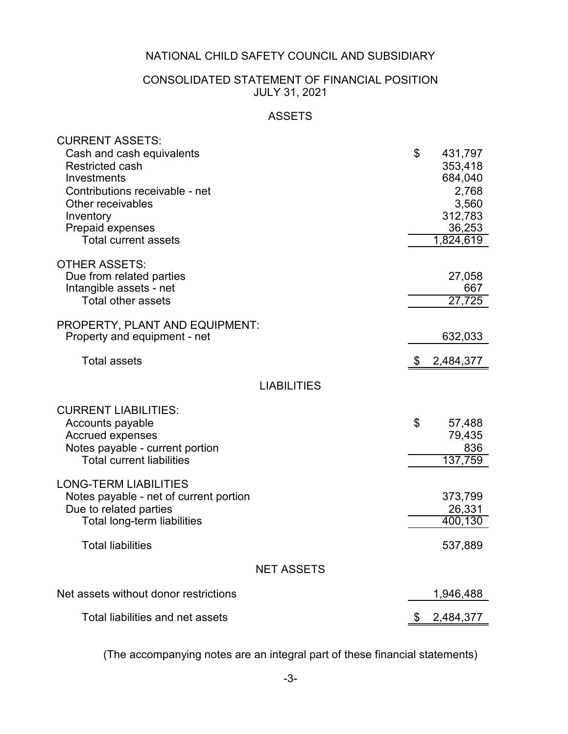# CONSOLIDATED STATEMENT OF FINANCIAL POSITION JULY 31, 2021

# ASSETS

| <b>CURRENT ASSETS:</b>                 |                 |
|----------------------------------------|-----------------|
| Cash and cash equivalents              | \$<br>431,797   |
| <b>Restricted cash</b>                 | 353,418         |
| Investments                            | 684,040         |
| Contributions receivable - net         | 2,768           |
| Other receivables                      | 3,560           |
| Inventory                              | 312,783         |
| <b>Prepaid expenses</b>                | 36,253          |
| <b>Total current assets</b>            | 1,824,619       |
|                                        |                 |
| <b>OTHER ASSETS:</b>                   |                 |
| Due from related parties               | 27,058          |
| Intangible assets - net                | 667             |
| <b>Total other assets</b>              | 27,725          |
|                                        |                 |
| PROPERTY, PLANT AND EQUIPMENT:         |                 |
| Property and equipment - net           | 632,033         |
|                                        |                 |
| <b>Total assets</b>                    | 2,484,377       |
| <b>LIABILITIES</b>                     |                 |
|                                        |                 |
| <b>CURRENT LIABILITIES:</b>            |                 |
| Accounts payable                       | \$<br>57,488    |
| <b>Accrued expenses</b>                | 79,435          |
| Notes payable - current portion        | 836             |
| <b>Total current liabilities</b>       | 137,759         |
|                                        |                 |
| <b>LONG-TERM LIABILITIES</b>           |                 |
| Notes payable - net of current portion | 373,799         |
| Due to related parties                 | 26,331          |
| <b>Total long-term liabilities</b>     | 400,130         |
|                                        |                 |
| <b>Total liabilities</b>               | 537,889         |
| <b>NET ASSETS</b>                      |                 |
|                                        |                 |
| Net assets without donor restrictions  | 1,946,488       |
| Total liabilities and net assets       | \$<br>2,484,377 |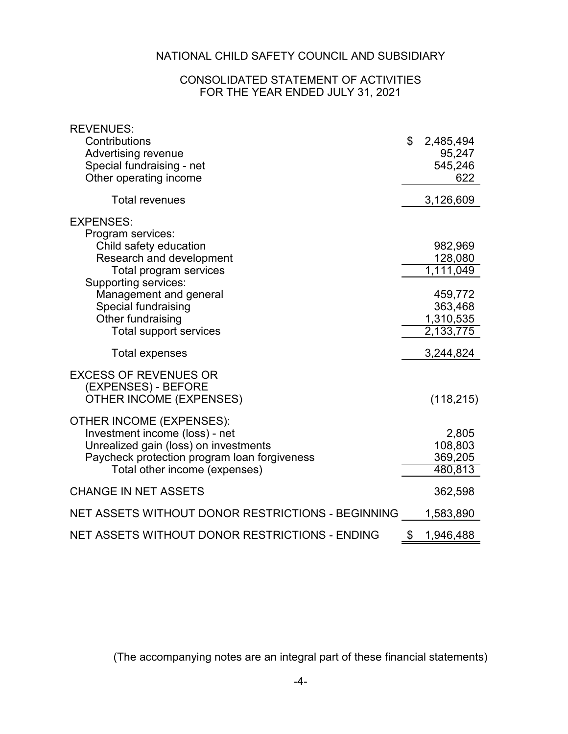### CONSOLIDATED STATEMENT OF ACTIVITIES FOR THE YEAR ENDED JULY 31, 2021

| <b>REVENUES:</b>                                    |                 |
|-----------------------------------------------------|-----------------|
| Contributions                                       | \$<br>2,485,494 |
| <b>Advertising revenue</b>                          | 95,247          |
| Special fundraising - net<br>Other operating income | 545,246<br>622  |
|                                                     |                 |
| <b>Total revenues</b>                               | 3,126,609       |
| <b>EXPENSES:</b>                                    |                 |
| Program services:                                   |                 |
| Child safety education                              | 982,969         |
| Research and development                            | 128,080         |
| Total program services<br>Supporting services:      | 1,111,049       |
| Management and general                              | 459,772         |
| Special fundraising                                 | 363,468         |
| Other fundraising                                   | 1,310,535       |
| <b>Total support services</b>                       | 2,133,775       |
| <b>Total expenses</b>                               | 3,244,824       |
| <b>EXCESS OF REVENUES OR</b>                        |                 |
| (EXPENSES) - BEFORE                                 |                 |
| <b>OTHER INCOME (EXPENSES)</b>                      | (118, 215)      |
| <b>OTHER INCOME (EXPENSES):</b>                     |                 |
| Investment income (loss) - net                      | 2,805           |
| Unrealized gain (loss) on investments               | 108,803         |
| Paycheck protection program loan forgiveness        | 369,205         |
| Total other income (expenses)                       | 480,813         |
| <b>CHANGE IN NET ASSETS</b>                         | 362,598         |
| NET ASSETS WITHOUT DONOR RESTRICTIONS - BEGINNING   | 1,583,890       |
| NET ASSETS WITHOUT DONOR RESTRICTIONS - ENDING      | \$<br>1,946,488 |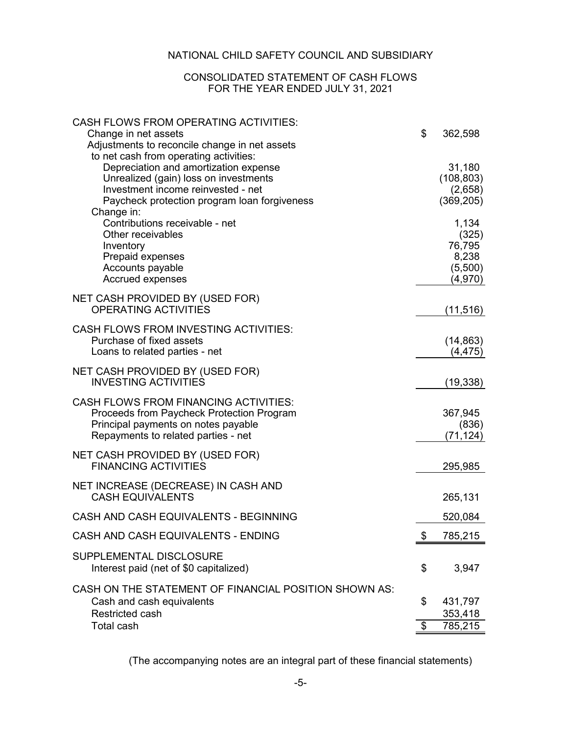### CONSOLIDATED STATEMENT OF CASH FLOWS FOR THE YEAR ENDED JULY 31, 2021

| <b>CASH FLOWS FROM OPERATING ACTIVITIES:</b>                               |                           |                    |
|----------------------------------------------------------------------------|---------------------------|--------------------|
| Change in net assets                                                       | \$                        | 362,598            |
| Adjustments to reconcile change in net assets                              |                           |                    |
| to net cash from operating activities:                                     |                           |                    |
| Depreciation and amortization expense                                      |                           | 31,180             |
| Unrealized (gain) loss on investments                                      |                           | (108, 803)         |
| Investment income reinvested - net                                         |                           | (2,658)            |
| Paycheck protection program loan forgiveness<br>Change in:                 |                           | (369, 205)         |
| Contributions receivable - net                                             |                           | 1,134              |
| Other receivables                                                          |                           | (325)              |
| Inventory                                                                  |                           | 76,795             |
| Prepaid expenses                                                           |                           | 8,238              |
| Accounts payable                                                           |                           | (5,500)            |
| Accrued expenses                                                           |                           | (4,970)            |
|                                                                            |                           |                    |
| NET CASH PROVIDED BY (USED FOR)<br>OPERATING ACTIVITIES                    |                           | (11, 516)          |
|                                                                            |                           |                    |
| <b>CASH FLOWS FROM INVESTING ACTIVITIES:</b>                               |                           |                    |
| Purchase of fixed assets                                                   |                           | (14, 863)          |
| Loans to related parties - net                                             |                           | (4, 475)           |
| NET CASH PROVIDED BY (USED FOR)                                            |                           |                    |
| <b>INVESTING ACTIVITIES</b>                                                |                           | (19, 338)          |
|                                                                            |                           |                    |
| <b>CASH FLOWS FROM FINANCING ACTIVITIES:</b>                               |                           |                    |
| Proceeds from Paycheck Protection Program                                  |                           | 367,945            |
| Principal payments on notes payable<br>Repayments to related parties - net |                           | (836)<br>(71, 124) |
|                                                                            |                           |                    |
| NET CASH PROVIDED BY (USED FOR)                                            |                           |                    |
| <b>FINANCING ACTIVITIES</b>                                                |                           | 295,985            |
| NET INCREASE (DECREASE) IN CASH AND                                        |                           |                    |
| <b>CASH EQUIVALENTS</b>                                                    |                           | 265,131            |
|                                                                            |                           |                    |
| CASH AND CASH EQUIVALENTS - BEGINNING                                      |                           | 520,084            |
| CASH AND CASH EQUIVALENTS - ENDING                                         | \$                        | 785,215            |
| SUPPLEMENTAL DISCLOSURE                                                    |                           |                    |
| Interest paid (net of \$0 capitalized)                                     | \$                        | 3,947              |
|                                                                            |                           |                    |
| CASH ON THE STATEMENT OF FINANCIAL POSITION SHOWN AS:                      |                           |                    |
| Cash and cash equivalents                                                  | \$                        | 431,797            |
| Restricted cash                                                            |                           | 353,418            |
| Total cash                                                                 | $\boldsymbol{\mathsf{S}}$ | 785,215            |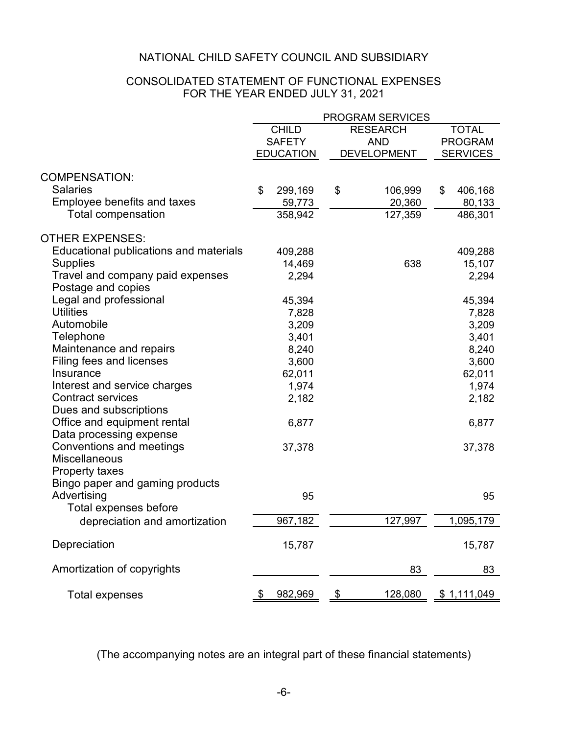### CONSOLIDATED STATEMENT OF FUNCTIONAL EXPENSES FOR THE YEAR ENDED JULY 31, 2021

|                                        |                  | PROGRAM SERVICES         |                 |
|----------------------------------------|------------------|--------------------------|-----------------|
|                                        | <b>CHILD</b>     | <b>RESEARCH</b>          | <b>TOTAL</b>    |
|                                        | <b>SAFETY</b>    | <b>AND</b>               | <b>PROGRAM</b>  |
|                                        | <b>EDUCATION</b> | <b>DEVELOPMENT</b>       | <b>SERVICES</b> |
|                                        |                  |                          |                 |
| <b>COMPENSATION:</b>                   |                  |                          |                 |
| <b>Salaries</b>                        | \$<br>299,169    | \$<br>106,999            | \$<br>406,168   |
| <b>Employee benefits and taxes</b>     | 59,773           | 20,360                   | 80,133          |
| <b>Total compensation</b>              | 358,942          | 127,359                  | 486,301         |
| <b>OTHER EXPENSES:</b>                 |                  |                          |                 |
| Educational publications and materials | 409,288          |                          | 409,288         |
| <b>Supplies</b>                        | 14,469           | 638                      | 15,107          |
| Travel and company paid expenses       | 2,294            |                          |                 |
| Postage and copies                     |                  |                          | 2,294           |
| Legal and professional                 |                  |                          |                 |
| <b>Utilities</b>                       | 45,394           |                          | 45,394          |
|                                        | 7,828            |                          | 7,828           |
| Automobile                             | 3,209            |                          | 3,209           |
| Telephone                              | 3,401            |                          | 3,401           |
| Maintenance and repairs                | 8,240            |                          | 8,240           |
| Filing fees and licenses               | 3,600            |                          | 3,600           |
| Insurance                              | 62,011           |                          | 62,011          |
| Interest and service charges           | 1,974            |                          | 1,974           |
| <b>Contract services</b>               | 2,182            |                          | 2,182           |
| Dues and subscriptions                 |                  |                          |                 |
| Office and equipment rental            | 6,877            |                          | 6,877           |
| Data processing expense                |                  |                          |                 |
| Conventions and meetings               | 37,378           |                          | 37,378          |
| <b>Miscellaneous</b>                   |                  |                          |                 |
| Property taxes                         |                  |                          |                 |
| Bingo paper and gaming products        |                  |                          |                 |
| Advertising                            | 95               |                          | 95              |
| Total expenses before                  |                  |                          |                 |
| depreciation and amortization          | 967,182          | 127,997                  | 1,095,179       |
| Depreciation                           | 15,787           |                          |                 |
|                                        |                  |                          | 15,787          |
| Amortization of copyrights             |                  | 83                       | 83              |
| <b>Total expenses</b>                  | 982,969          | 128,080<br>$\frac{1}{2}$ | \$1,111,049     |
|                                        |                  |                          |                 |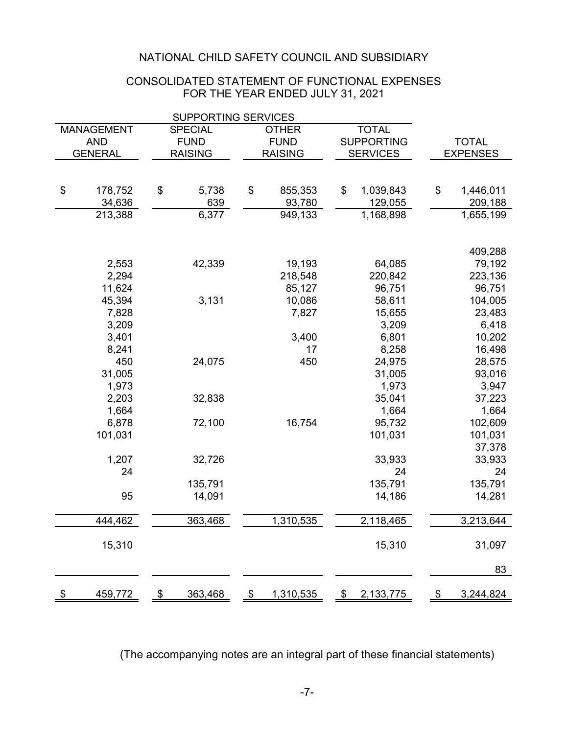### FOR THE YEAR ENDED JULY 31, 2021 CONSOLIDATED STATEMENT OF FUNCTIONAL EXPENSES

|                                                                     |    | <b>SUPPORTING SERVICES</b> |     |                |                   |                 |
|---------------------------------------------------------------------|----|----------------------------|-----|----------------|-------------------|-----------------|
| <b>TOTAL</b><br><b>MANAGEMENT</b><br><b>SPECIAL</b><br><b>OTHER</b> |    |                            |     |                |                   |                 |
| <b>AND</b>                                                          |    | <b>FUND</b>                |     | <b>FUND</b>    | <b>SUPPORTING</b> | <b>TOTAL</b>    |
| <b>GENERAL</b>                                                      |    | <b>RAISING</b>             |     | <b>RAISING</b> | <b>SERVICES</b>   | <b>EXPENSES</b> |
|                                                                     |    |                            |     |                |                   |                 |
|                                                                     |    |                            |     |                |                   |                 |
| \$<br>178,752                                                       | \$ | 5,738                      | \$  | 855,353        | \$<br>1,039,843   | \$<br>1,446,011 |
| 34,636                                                              |    | 639                        |     | 93,780         | 129,055           | 209,188         |
| 213,388                                                             |    | 6,377                      |     | 949,133        | 1,168,898         | 1,655,199       |
|                                                                     |    |                            |     |                |                   |                 |
|                                                                     |    |                            |     |                |                   |                 |
|                                                                     |    |                            |     |                |                   | 409,288         |
| 2,553                                                               |    | 42,339                     |     | 19,193         | 64,085            | 79,192          |
| 2,294                                                               |    |                            |     | 218,548        | 220,842           | 223,136         |
| 11,624                                                              |    |                            |     | 85,127         | 96,751            | 96,751          |
| 45,394                                                              |    | 3,131                      |     | 10,086         | 58,611            | 104,005         |
| 7,828                                                               |    |                            |     | 7,827          | 15,655            | 23,483          |
| 3,209                                                               |    |                            |     |                | 3,209             | 6,418           |
| 3,401                                                               |    |                            |     | 3,400          | 6,801             | 10,202          |
| 8,241                                                               |    |                            |     | 17             | 8,258             | 16,498          |
| 450                                                                 |    | 24,075                     |     | 450            | 24,975            | 28,575          |
| 31,005                                                              |    |                            |     |                | 31,005            | 93,016          |
| 1,973                                                               |    |                            |     |                | 1,973             | 3,947           |
| 2,203                                                               |    | 32,838                     |     |                | 35,041            | 37,223          |
| 1,664                                                               |    |                            |     |                | 1,664             | 1,664           |
| 6,878                                                               |    | 72,100                     |     | 16,754         | 95,732            | 102,609         |
| 101,031                                                             |    |                            |     |                | 101,031           | 101,031         |
|                                                                     |    |                            |     |                |                   | 37,378          |
| 1,207                                                               |    | 32,726                     |     |                | 33,933            | 33,933          |
| 24                                                                  |    |                            |     |                | 24                | 24              |
|                                                                     |    | 135,791                    |     |                | 135,791           | 135,791         |
| 95                                                                  |    | 14,091                     |     |                | 14,186            | 14,281          |
|                                                                     |    |                            |     |                |                   |                 |
| 444,462                                                             |    | 363,468                    |     | 1,310,535      | 2,118,465         | 3,213,644       |
| 15,310                                                              |    |                            |     |                | 15,310            | 31,097          |
|                                                                     |    |                            |     |                |                   | 83              |
|                                                                     |    |                            |     |                |                   |                 |
| <u>459,772</u>                                                      | \$ | 363,468                    | -\$ | 1,310,535      | \$<br>2,133,775   | 3,244,824       |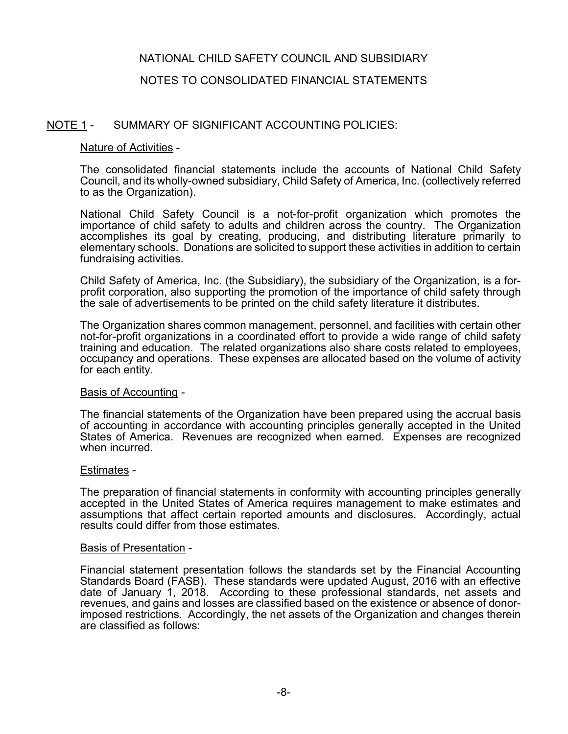### NOTES TO CONSOLIDATED FINANCIAL STATEMENTS

### NOTE 1 - SUMMARY OF SIGNIFICANT ACCOUNTING POLICIES:

### Nature of Activities -

The consolidated financial statements include the accounts of National Child Safety Council, and its wholly-owned subsidiary, Child Safety of America, Inc. (collectively referred to as the Organization).

National Child Safety Council is a not-for-profit organization which promotes the importance of child safety to adults and children across the country. The Organization accomplishes its goal by creating, producing, and distributing literature primarily to elementary schools. Donations are solicited to support these activities in addition to certain fundraising activities.

Child Safety of America, Inc. (the Subsidiary), the subsidiary of the Organization, is a for- profit corporation, also supporting the promotion of the importance of child safety through the sale of advertisements to be printed on the child safety literature it distributes.

The Organization shares common management, personnel, and facilities with certain other not-for-profit organizations in a coordinated effort to provide a wide range of child safety training and education. The related organizations also share costs related to employees, occupancy and operations. These expenses are allocated based on the volume of activity for each entity.

#### Basis of Accounting -

The financial statements of the Organization have been prepared using the accrual basis of accounting in accordance with accounting principles generally accepted in the United States of America. Revenues are recognized when earned. Expenses are recognized when incurred.

#### Estimates -

The preparation of financial statements in conformity with accounting principles generally accepted in the United States of America requires management to make estimates and assumptions that affect certain reported amounts and disclosures. Accordingly, actual results could differ from those estimates.

#### Basis of Presentation -

Financial statement presentation follows the standards set by the Financial Accounting Standards Board (FASB). These standards were updated August, 2016 with an effective date of January 1, 2018. According to these professional standards, net assets and revenues, and gains and losses are classified based on the existence or absence of donorimposed restrictions. Accordingly, the net assets of the Organization and changes therein are classified as follows: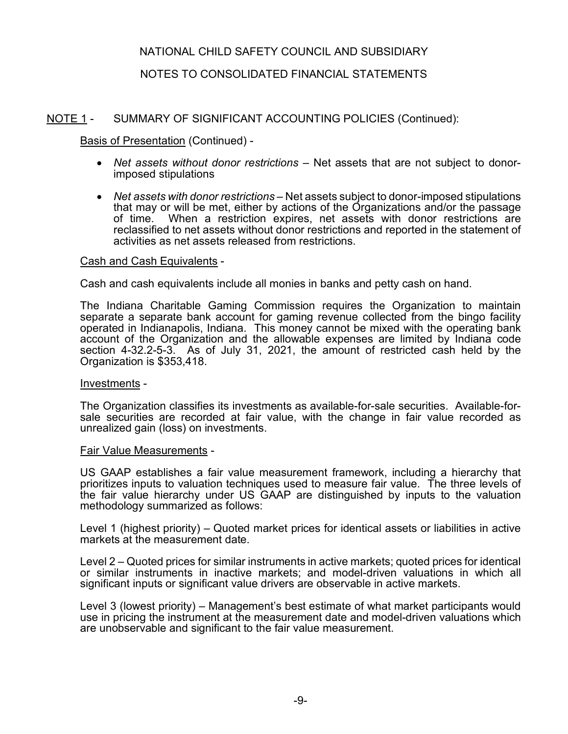# NOTES TO CONSOLIDATED FINANCIAL STATEMENTS

# NOTE 1 - SUMMARY OF SIGNIFICANT ACCOUNTING POLICIES (Continued):

Basis of Presentation (Continued) -

- *Net assets without donor restrictions* Net assets that are not subject to donorimposed stipulations
- *Net assets with donor restrictions* Net assets subject to donor-imposed stipulations that may or will be met, either by actions of the Organizations and/or the passage<br>of time. When a restriction expires, net assets with donor restrictions are When a restriction expires, net assets with donor restrictions are reclassified to net assets without donor restrictions and reported in the statement of activities as net assets released from restrictions.

#### Cash and Cash Equivalents -

Cash and cash equivalents include all monies in banks and petty cash on hand.

The Indiana Charitable Gaming Commission requires the Organization to maintain separate a separate bank account for gaming revenue collected from the bingo facility operated in Indianapolis, Indiana. This money cannot be mixed with the operating bank account of the Organization and the allowable expenses are limited by Indiana code section 4-32.2-5-3. As of July 31, 2021, the amount of restricted cash held by the Organization is \$353,418.

#### Investments -

The Organization classifies its investments as available-for-sale securities. Available-forsale securities are recorded at fair value, with the change in fair value recorded as unrealized gain (loss) on investments.

#### Fair Value Measurements -

US GAAP establishes a fair value measurement framework, including a hierarchy that prioritizes inputs to valuation techniques used to measure fair value. The three levels of the fair value hierarchy under US GAAP are distinguished by inputs to the valuation methodology summarized as follows:

Level 1 (highest priority) – Quoted market prices for identical assets or liabilities in active markets at the measurement date.

Level 2 – Quoted prices for similar instruments in active markets; quoted prices for identical or similar instruments in inactive markets; and model-driven valuations in which all significant inputs or significant value drivers are observable in active markets.

Level 3 (lowest priority) – Management's best estimate of what market participants would use in pricing the instrument at the measurement date and model-driven valuations which are unobservable and significant to the fair value measurement.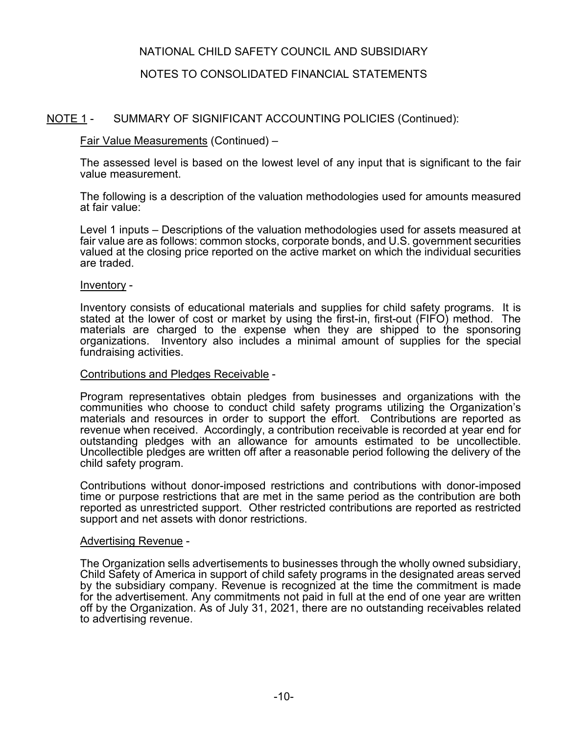# NOTES TO CONSOLIDATED FINANCIAL STATEMENTS

# NOTE 1 - SUMMARY OF SIGNIFICANT ACCOUNTING POLICIES (Continued):

### Fair Value Measurements (Continued) –

The assessed level is based on the lowest level of any input that is significant to the fair value measurement.

The following is a description of the valuation methodologies used for amounts measured at fair value:

Level 1 inputs – Descriptions of the valuation methodologies used for assets measured at fair value are as follows: common stocks, corporate bonds, and U.S. government securities valued at the closing price reported on the active market on which the individual securities are traded.

#### Inventory -

Inventory consists of educational materials and supplies for child safety programs. It is stated at the lower of cost or market by using the first-in, first-out (FIFO) method. The materials are charged to the expense when they are shipped to the sponsoring organizations. Inventory also includes a minimal amount of supplies for the special fundraising activities.

#### Contributions and Pledges Receivable -

Program representatives obtain pledges from businesses and organizations with the communities who choose to conduct child safety programs utilizing the Organization's materials and resources in order to support the effort. Contributions are reported as revenue when received. Accordingly, a contribution receivable is recorded at year end for outstanding pledges with an allowance for amounts estimated to be uncollectible. Uncollectible pledges are written off after a reasonable period following the delivery of the child safety program.

Contributions without donor-imposed restrictions and contributions with donor-imposed time or purpose restrictions that are met in the same period as the contribution are both reported as unrestricted support. Other restricted contributions are reported as restricted support and net assets with donor restrictions.

#### Advertising Revenue -

The Organization sells advertisements to businesses through the wholly owned subsidiary, Child Safety of America in support of child safety programs in the designated areas served by the subsidiary company. Revenue is recognized at the time the commitment is made for the advertisement. Any commitments not paid in full at the end of one year are written off by the Organization. As of July 31, 2021, there are no outstanding receivables related to advertising revenue.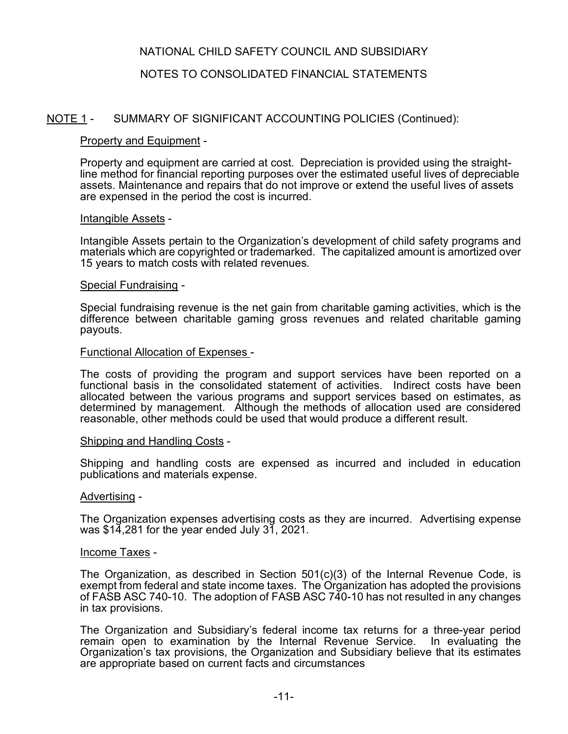# NOTES TO CONSOLIDATED FINANCIAL STATEMENTS

# NOTE 1 - SUMMARY OF SIGNIFICANT ACCOUNTING POLICIES (Continued):

### Property and Equipment -

Property and equipment are carried at cost. Depreciation is provided using the straightline method for financial reporting purposes over the estimated useful lives of depreciable assets. Maintenance and repairs that do not improve or extend the useful lives of assets are expensed in the period the cost is incurred.

#### Intangible Assets -

Intangible Assets pertain to the Organization's development of child safety programs and materials which are copyrighted or trademarked. The capitalized amount is amortized over 15 years to match costs with related revenues.

#### Special Fundraising -

Special fundraising revenue is the net gain from charitable gaming activities, which is the difference between charitable gaming gross revenues and related charitable gaming payouts.

#### Functional Allocation of Expenses -

The costs of providing the program and support services have been reported on a functional basis in the consolidated statement of activities. Indirect costs have been allocated between the various programs and support services based on estimates, as determined by management. Although the methods of allocation used are considered reasonable, other methods could be used that would produce a different result.

#### Shipping and Handling Costs -

Shipping and handling costs are expensed as incurred and included in education publications and materials expense.

#### Advertising -

The Organization expenses advertising costs as they are incurred. Advertising expense was  $$1\overline{4}$ , 281 for the year ended July 31, 2021.

#### Income Taxes -

The Organization, as described in Section  $501(c)(3)$  of the Internal Revenue Code, is exempt from federal and state income taxes. The Organization has adopted the provisions of FASB ASC 740-10. The adoption of FASB ASC 740-10 has not resulted in any changes in tax provisions.

The Organization and Subsidiary's federal income tax returns for a three-year period remain open to examination by the Internal Revenue Service. In evaluating the Organization's tax provisions, the Organization and Subsidiary believe that its estimates are appropriate based on current facts and circumstances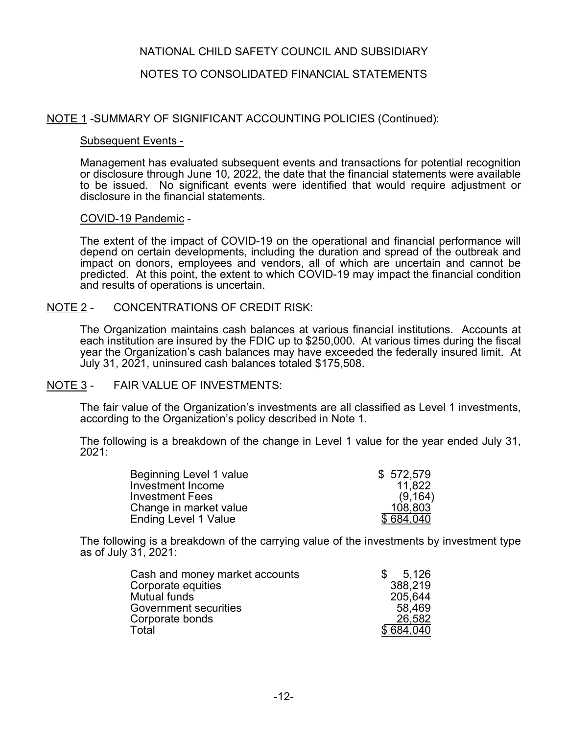### NOTES TO CONSOLIDATED FINANCIAL STATEMENTS

### NOTE 1 -SUMMARY OF SIGNIFICANT ACCOUNTING POLICIES (Continued):

### Subsequent Events -

Management has evaluated subsequent events and transactions for potential recognition or disclosure through June 10, 2022, the date that the financial statements were available to be issued. No significant events were identified that would require adjustment or disclosure in the financial statements.

### COVID-19 Pandemic -

The extent of the impact of COVID-19 on the operational and financial performance will depend on certain developments, including the duration and spread of the outbreak and impact on donors, employees and vendors, all of which are uncertain and cannot be predicted. At this point, the extent to which COVID-19 may impact the financial condition and results of operations is uncertain.

### NOTE 2 - CONCENTRATIONS OF CREDIT RISK:

The Organization maintains cash balances at various financial institutions. Accounts at each institution are insured by the FDIC up to \$250,000. At various times during the fiscal year the Organization's cash balances may have exceeded the federally insured limit. At July 31, 2021, uninsured cash balances totaled \$175,508.

### NOTE 3 - FAIR VALUE OF INVESTMENTS:

The fair value of the Organization's investments are all classified as Level 1 investments, according to the Organization's policy described in Note 1.

The following is a breakdown of the change in Level 1 value for the year ended July 31, 2021:

| Beginning Level 1 value     | \$572,579 |
|-----------------------------|-----------|
| Investment Income           | 11.822    |
| <b>Investment Fees</b>      | (9, 164)  |
| Change in market value      | 108,803   |
| <b>Ending Level 1 Value</b> | \$684,040 |

The following is a breakdown of the carrying value of the investments by investment type as of July 31, 2021:

| Cash and money market accounts | 5.126     |
|--------------------------------|-----------|
| Corporate equities             | 388,219   |
| <b>Mutual funds</b>            | 205,644   |
| Government securities          | 58,469    |
| Corporate bonds                | 26,582    |
| Total                          | \$684.040 |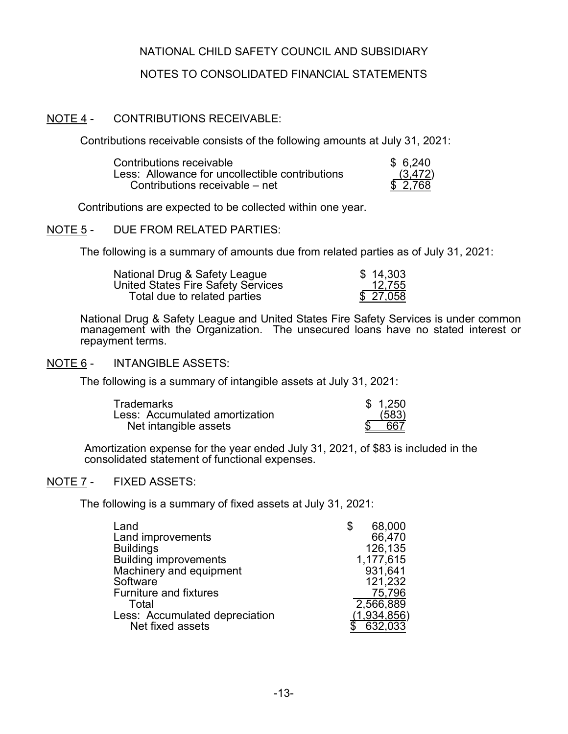### NOTES TO CONSOLIDATED FINANCIAL STATEMENTS

### NOTE 4 - CONTRIBUTIONS RECEIVABLE:

Contributions receivable consists of the following amounts at July 31, 2021:

| Contributions receivable                        | \$6.240  |
|-------------------------------------------------|----------|
| Less: Allowance for uncollectible contributions | (3, 472) |
| Contributions receivable – net                  | \$2.768  |

Contributions are expected to be collected within one year.

NOTE 5 - DUE FROM RELATED PARTIES:

The following is a summary of amounts due from related parties as of July 31, 2021:

| National Drug & Safety League      | \$14,303  |
|------------------------------------|-----------|
| United States Fire Safety Services | 12,755    |
| Total due to related parties       | \$ 27,058 |

National Drug & Safety League and United States Fire Safety Services is under common management with the Organization. The unsecured loans have no stated interest or repayment terms.

#### NOTE 6 - INTANGIBLE ASSETS:

The following is a summary of intangible assets at July 31, 2021:

| <b>Trademarks</b>              | \$1.250 |
|--------------------------------|---------|
| Less: Accumulated amortization | (583)   |
| Net intangible assets          | 667     |

Amortization expense for the year ended July 31, 2021, of \$83 is included in the consolidated statement of functional expenses.

### NOTE 7 - FIXED ASSETS:

The following is a summary of fixed assets at July 31, 2021:

| Land                           | 68,000      |
|--------------------------------|-------------|
| Land improvements              | 66,470      |
| <b>Buildings</b>               | 126,135     |
| <b>Building improvements</b>   | 1,177,615   |
| Machinery and equipment        | 931,641     |
| Software                       | 121,232     |
| <b>Furniture and fixtures</b>  | 75,796      |
| Total                          | 2,566,889   |
| Less: Accumulated depreciation | (1,934,856) |
| Net fixed assets               | 632,033     |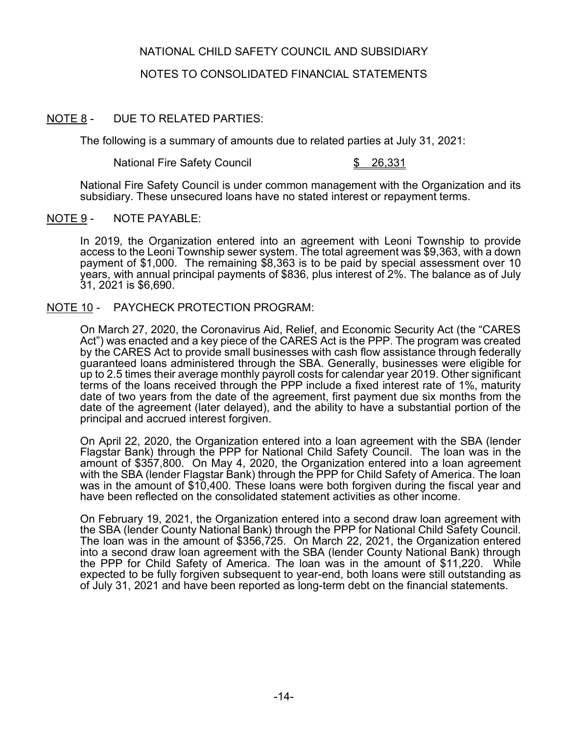# NOTES TO CONSOLIDATED FINANCIAL STATEMENTS

# NOTE 8 - DUE TO RELATED PARTIES:

The following is a summary of amounts due to related parties at July 31, 2021:

National Fire Safety Council **\$ 26,331** 

National Fire Safety Council is under common management with the Organization and its subsidiary. These unsecured loans have no stated interest or repayment terms.

### NOTE 9 - NOTE PAYABLE:

In 2019, the Organization entered into an agreement with Leoni Township to provide access to the Leoni Township sewer system. The total agreement was \$9,363, with a down payment of \$1,000. The remaining \$8,363 is to be paid by special assessment over 10 years, with annual principal payments of \$836, plus interest of 2%. The balance as of July 31, 2021 is \$6,690.

### NOTE 10 - PAYCHECK PROTECTION PROGRAM:

On March 27, 2020, the Coronavirus Aid, Relief, and Economic Security Act (the "CARES Act") was enacted and a key piece of the CARES Act is the PPP. The program was created by the CARES Act to provide small businesses with cash flow assistance through federally guaranteed loans administered through the SBA. Generally, businesses were eligible for up to 2.5 times their average monthly payroll costs for calendar year 2019. Other significant terms of the loans received through the PPP include a fixed interest rate of 1%, maturity date of two years from the date of the agreement, first payment due six months from the date of the agreement (later delayed), and the ability to have a substantial portion of the principal and accrued interest forgiven.

On April 22, 2020, the Organization entered into a loan agreement with the SBA (lender Flagstar Bank) through the PPP for National Child Safety Council. The loan was in the amount of \$357,800. On May 4, 2020, the Organization entered into a loan agreement with the SBA (lender Flagstar Bank) through the PPP for Child Safety of America. The loan was in the amount of \$10,400. These loans were both forgiven during the fiscal year and have been reflected on the consolidated statement activities as other income.

On February 19, 2021, the Organization entered into a second draw loan agreement with the SBA (lender County National Bank) through the PPP for National Child Safety Council. The loan was in the amount of \$356,725. On March 22, 2021, the Organization entered into a second draw loan agreement with the SBA (lender County National Bank) through the PPP for Child Safety of America. The loan was in the amount of \$11,220. While expected to be fully forgiven subsequent to year-end, both loans were still outstanding as of July 31, 2021 and have been reported as long-term debt on the financial statements.